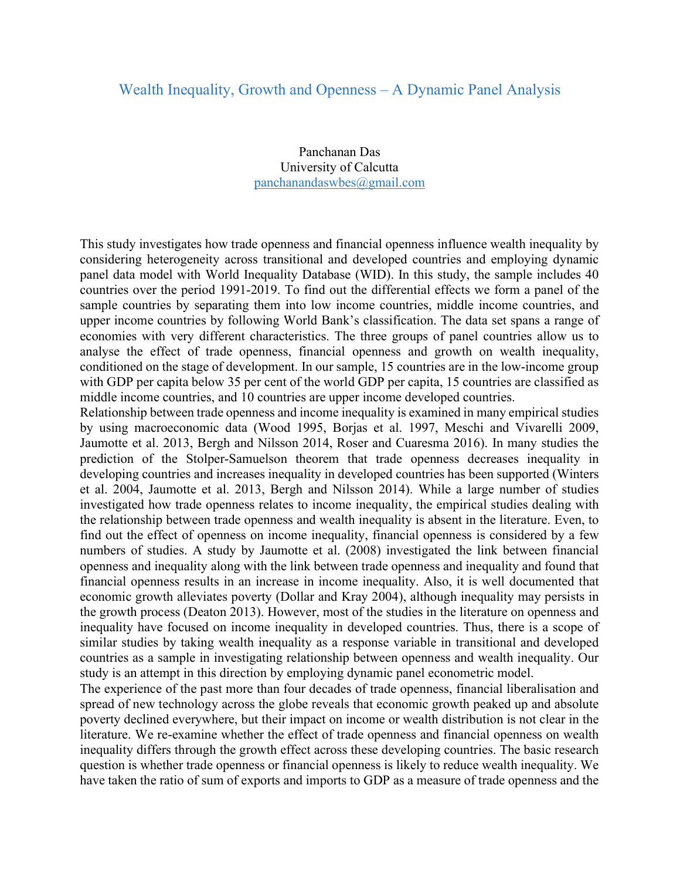## Wealth Inequality, Growth and Openness – A Dynamic Panel Analysis

Panchanan Das University of Calcutta panchanandaswbes@gmail.com

This study investigates how trade openness and financial openness influence wealth inequality by considering heterogeneity across transitional and developed countries and employing dynamic panel data model with World Inequality Database (WID). In this study, the sample includes 40 countries over the period 1991-2019. To find out the differential effects we form a panel of the sample countries by separating them into low income countries, middle income countries, and upper income countries by following World Bank's classification. The data set spans a range of economies with very different characteristics. The three groups of panel countries allow us to analyse the effect of trade openness, financial openness and growth on wealth inequality, conditioned on the stage of development. In our sample, 15 countries are in the low-income group with GDP per capita below 35 per cent of the world GDP per capita, 15 countries are classified as middle income countries, and 10 countries are upper income developed countries.

Relationship between trade openness and income inequality is examined in many empirical studies by using macroeconomic data (Wood 1995, Borjas et al. 1997, Meschi and Vivarelli 2009, Jaumotte et al. 2013, Bergh and Nilsson 2014, Roser and Cuaresma 2016). In many studies the prediction of the Stolper-Samuelson theorem that trade openness decreases inequality in developing countries and increases inequality in developed countries has been supported (Winters et al. 2004, Jaumotte et al. 2013, Bergh and Nilsson 2014). While a large number of studies investigated how trade openness relates to income inequality, the empirical studies dealing with the relationship between trade openness and wealth inequality is absent in the literature. Even, to find out the effect of openness on income inequality, financial openness is considered by a few numbers of studies. A study by Jaumotte et al. (2008) investigated the link between financial openness and inequality along with the link between trade openness and inequality and found that financial openness results in an increase in income inequality. Also, it is well documented that economic growth alleviates poverty (Dollar and Kray 2004), although inequality may persists in the growth process (Deaton 2013). However, most of the studies in the literature on openness and inequality have focused on income inequality in developed countries. Thus, there is a scope of similar studies by taking wealth inequality as a response variable in transitional and developed countries as a sample in investigating relationship between openness and wealth inequality. Our study is an attempt in this direction by employing dynamic panel econometric model.

The experience of the past more than four decades of trade openness, financial liberalisation and spread of new technology across the globe reveals that economic growth peaked up and absolute poverty declined everywhere, but their impact on income or wealth distribution is not clear in the literature. We re-examine whether the effect of trade openness and financial openness on wealth inequality differs through the growth effect across these developing countries. The basic research question is whether trade openness or financial openness is likely to reduce wealth inequality. We have taken the ratio of sum of exports and imports to GDP as a measure of trade openness and the